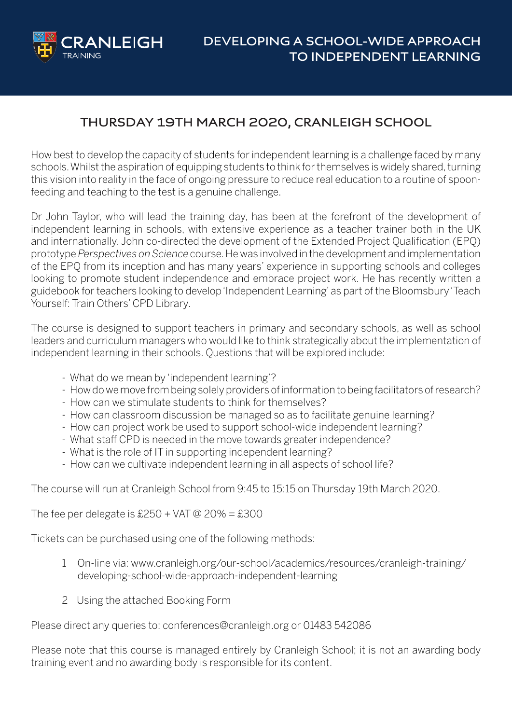

## **THURSDAY 19TH MARCH 2020, CRANLEIGH SCHOOL**

How best to develop the capacity of students for independent learning is a challenge faced by many schools. Whilst the aspiration of equipping students to think for themselves is widely shared, turning this vision into reality in the face of ongoing pressure to reduce real education to a routine of spoonfeeding and teaching to the test is a genuine challenge.

Dr John Taylor, who will lead the training day, has been at the forefront of the development of independent learning in schools, with extensive experience as a teacher trainer both in the UK and internationally. John co-directed the development of the Extended Project Qualification (EPQ) prototype Perspectives on Science course. He was involved in the development and implementation of the EPQ from its inception and has many years' experience in supporting schools and colleges looking to promote student independence and embrace project work. He has recently written a guidebook for teachers looking to develop'Independent Learning' as part of the Bloomsbury'Teach Yourself: Train Others' CPD Library.

The course is designed to support teachers in primary and secondary schools, as well as school leaders and curriculum managers who would like to think strategically about the implementation of independent learning in their schools. Questions that will be explored include:

- What do we mean by 'independent learning'?
- How do we move from being solely providers of information to being facilitators of research?
- How can we stimulate students to think for themselves?
- How can classroom discussion be managed so as to facilitate genuine learning?
- How can project work be used to support school-wide independent learning?
- What staff CPD is needed in the move towards greater independence?
- What is the role of IT in supporting independent learning?
- How can we cultivate independent learning in all aspects of school life?

The course will run at Cranleigh School from 9:45 to 15:15 on Thursday 19th March 2020.

The fee per delegate is  $£250 + VAT @ 20\% = £300$ 

Tickets can be purchased using one of the following methods:

- 1 On-line via: [www.cranleigh.org/our-school/academics/resources/cranleigh-training/](https://www.cranleigh.org/our-school/academics/resources/cranleigh-training/developing-school-wide-approach-independent-learning/)  [developing-school-wide-approach-independent-learning](https://www.cranleigh.org/our-school/academics/resources/cranleigh-training/developing-school-wide-approach-independent-learning/)
- 2 Using the attached Booking Form

Please direct any queries to: conferences@cranleigh.org or 01483 542086

Please note that this course is managed entirely by Cranleigh School; it is not an awarding body training event and no awarding body is responsible for its content.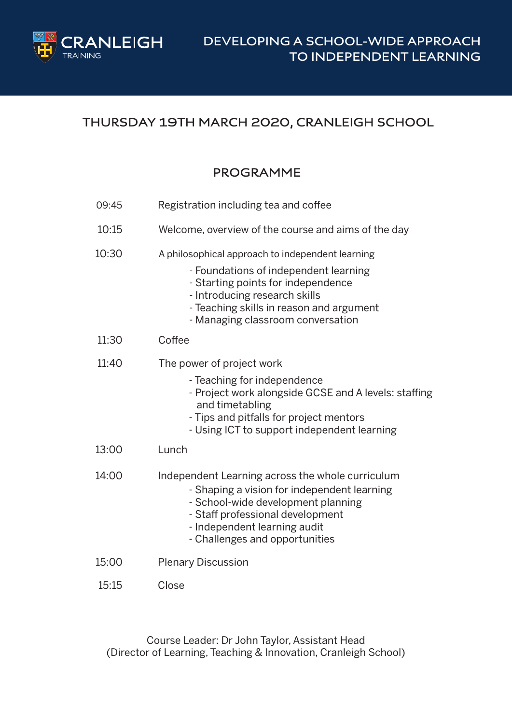

## **THURSDAY 19TH MARCH 2020, CRANLEIGH SCHOOL**

## **PROGRAMME**

| 09:45 | Registration including tea and coffee                                                                                                                                                                                                             |
|-------|---------------------------------------------------------------------------------------------------------------------------------------------------------------------------------------------------------------------------------------------------|
| 10:15 | Welcome, overview of the course and aims of the day                                                                                                                                                                                               |
| 10:30 | A philosophical approach to independent learning<br>- Foundations of independent learning<br>- Starting points for independence<br>- Introducing research skills<br>- Teaching skills in reason and argument<br>- Managing classroom conversation |
| 11:30 | Coffee                                                                                                                                                                                                                                            |
| 11:40 | The power of project work<br>- Teaching for independence<br>- Project work alongside GCSE and A levels: staffing<br>and timetabling<br>- Tips and pitfalls for project mentors<br>- Using ICT to support independent learning                     |
| 13:00 | Lunch                                                                                                                                                                                                                                             |
| 14:00 | Independent Learning across the whole curriculum<br>- Shaping a vision for independent learning<br>- School-wide development planning<br>- Staff professional development<br>- Independent learning audit<br>- Challenges and opportunities       |
| 15:00 | <b>Plenary Discussion</b>                                                                                                                                                                                                                         |
| 15:15 | Close                                                                                                                                                                                                                                             |

Course Leader: Dr John Taylor, Assistant Head (Director of Learning, Teaching & Innovation, Cranleigh School)